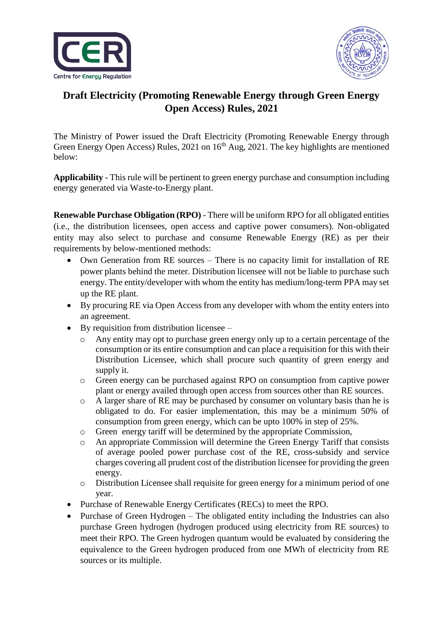



## **Draft Electricity (Promoting Renewable Energy through Green Energy Open Access) Rules, 2021**

The Ministry of Power issued the Draft Electricity (Promoting Renewable Energy through Green Energy Open Access) Rules, 2021 on 16<sup>th</sup> Aug, 2021. The key highlights are mentioned below:

**Applicability** - This rule will be pertinent to green energy purchase and consumption including energy generated via Waste-to-Energy plant.

**Renewable Purchase Obligation (RPO)** - There will be uniform RPO for all obligated entities (i.e., the distribution licensees, open access and captive power consumers). Non-obligated entity may also select to purchase and consume Renewable Energy (RE) as per their requirements by below-mentioned methods:

- Own Generation from RE sources There is no capacity limit for installation of RE power plants behind the meter. Distribution licensee will not be liable to purchase such energy. The entity/developer with whom the entity has medium/long-term PPA may set up the RE plant.
- By procuring RE via Open Access from any developer with whom the entity enters into an agreement.
- $\bullet$  By requisition from distribution licensee
	- o Any entity may opt to purchase green energy only up to a certain percentage of the consumption or its entire consumption and can place a requisition for this with their Distribution Licensee, which shall procure such quantity of green energy and supply it.
	- o Green energy can be purchased against RPO on consumption from captive power plant or energy availed through open access from sources other than RE sources.
	- o A larger share of RE may be purchased by consumer on voluntary basis than he is obligated to do. For easier implementation, this may be a minimum 50% of consumption from green energy, which can be upto 100% in step of 25%.
	- o Green energy tariff will be determined by the appropriate Commission,
	- o An appropriate Commission will determine the Green Energy Tariff that consists of average pooled power purchase cost of the RE, cross-subsidy and service charges covering all prudent cost of the distribution licensee for providing the green energy.
	- o Distribution Licensee shall requisite for green energy for a minimum period of one year.
- Purchase of Renewable Energy Certificates (RECs) to meet the RPO.
- Purchase of Green Hydrogen The obligated entity including the Industries can also purchase Green hydrogen (hydrogen produced using electricity from RE sources) to meet their RPO. The Green hydrogen quantum would be evaluated by considering the equivalence to the Green hydrogen produced from one MWh of electricity from RE sources or its multiple.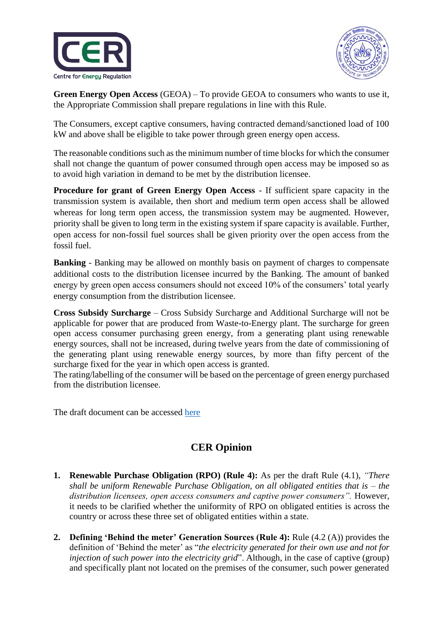



**Green Energy Open Access** (GEOA) – To provide GEOA to consumers who wants to use it, the Appropriate Commission shall prepare regulations in line with this Rule.

The Consumers, except captive consumers, having contracted demand/sanctioned load of 100 kW and above shall be eligible to take power through green energy open access.

The reasonable conditions such as the minimum number of time blocks for which the consumer shall not change the quantum of power consumed through open access may be imposed so as to avoid high variation in demand to be met by the distribution licensee.

**Procedure for grant of Green Energy Open Access** - If sufficient spare capacity in the transmission system is available, then short and medium term open access shall be allowed whereas for long term open access, the transmission system may be augmented. However, priority shall be given to long term in the existing system if spare capacity is available. Further, open access for non-fossil fuel sources shall be given priority over the open access from the fossil fuel.

**Banking** - Banking may be allowed on monthly basis on payment of charges to compensate additional costs to the distribution licensee incurred by the Banking. The amount of banked energy by green open access consumers should not exceed 10% of the consumers' total yearly energy consumption from the distribution licensee.

**Cross Subsidy Surcharge** – Cross Subsidy Surcharge and Additional Surcharge will not be applicable for power that are produced from Waste-to-Energy plant. The surcharge for green open access consumer purchasing green energy, from a generating plant using renewable energy sources, shall not be increased, during twelve years from the date of commissioning of the generating plant using renewable energy sources, by more than fifty percent of the surcharge fixed for the year in which open access is granted.

The rating/labelling of the consumer will be based on the percentage of green energy purchased from the distribution licensee.

The draft document can be accessed [here](https://cer.iitk.ac.in/odf_assets/upload_files/Seeking_comments_on_Draft_Electricity_Promoting_renewable_energy_through_Green_Energy_Open_Access%20_Rules_2021.pdf)

## **CER Opinion**

- **1. Renewable Purchase Obligation (RPO) (Rule 4):** As per the draft Rule (4.1), *"There shall be uniform Renewable Purchase Obligation, on all obligated entities that is – the distribution licensees, open access consumers and captive power consumers".* However, it needs to be clarified whether the uniformity of RPO on obligated entities is across the country or across these three set of obligated entities within a state.
- **2. Defining 'Behind the meter' Generation Sources (Rule 4):** Rule (4.2 (A)) provides the definition of 'Behind the meter' as "*the electricity generated for their own use and not for injection of such power into the electricity grid*". Although, in the case of captive (group) and specifically plant not located on the premises of the consumer, such power generated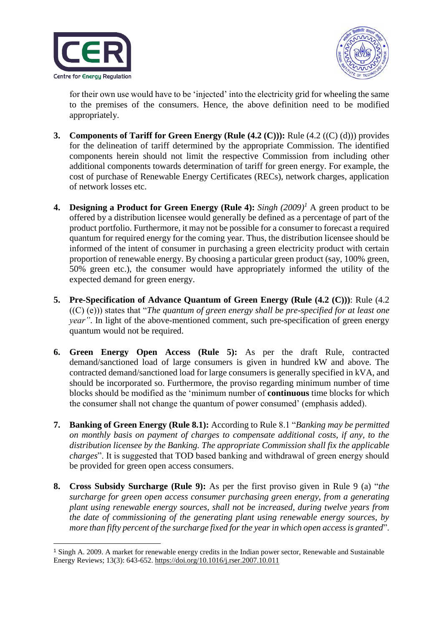

1



for their own use would have to be 'injected' into the electricity grid for wheeling the same to the premises of the consumers. Hence, the above definition need to be modified appropriately.

- **3. Components of Tariff for Green Energy (Rule (4.2 (C))):** Rule (4.2 ((C) (d))) provides for the delineation of tariff determined by the appropriate Commission. The identified components herein should not limit the respective Commission from including other additional components towards determination of tariff for green energy. For example, the cost of purchase of Renewable Energy Certificates (RECs), network charges, application of network losses etc.
- **4. Designing a Product for Green Energy (Rule 4):** *Singh (2009)<sup>1</sup>* A green product to be offered by a distribution licensee would generally be defined as a percentage of part of the product portfolio. Furthermore, it may not be possible for a consumer to forecast a required quantum for required energy for the coming year. Thus, the distribution licensee should be informed of the intent of consumer in purchasing a green electricity product with certain proportion of renewable energy. By choosing a particular green product (say, 100% green, 50% green etc.), the consumer would have appropriately informed the utility of the expected demand for green energy.
- **5. Pre-Specification of Advance Quantum of Green Energy (Rule (4.2 (C)))**: Rule (4.2 ((C) (e))) states that "*The quantum of green energy shall be pre-specified for at least one year*". In light of the above-mentioned comment, such pre-specification of green energy quantum would not be required.
- **6. Green Energy Open Access (Rule 5):** As per the draft Rule, contracted demand/sanctioned load of large consumers is given in hundred kW and above. The contracted demand/sanctioned load for large consumers is generally specified in kVA, and should be incorporated so. Furthermore, the proviso regarding minimum number of time blocks should be modified as the 'minimum number of **continuous** time blocks for which the consumer shall not change the quantum of power consumed' (emphasis added).
- **7. Banking of Green Energy (Rule 8.1):** According to Rule 8.1 "*Banking may be permitted on monthly basis on payment of charges to compensate additional costs, if any, to the distribution licensee by the Banking. The appropriate Commission shall fix the applicable charges*". It is suggested that TOD based banking and withdrawal of green energy should be provided for green open access consumers.
- **8. Cross Subsidy Surcharge (Rule 9):** As per the first proviso given in Rule 9 (a) "*the surcharge for green open access consumer purchasing green energy, from a generating plant using renewable energy sources, shall not be increased, during twelve years from the date of commissioning of the generating plant using renewable energy sources, by more than fifty percent of the surcharge fixed for the year in which open access is granted*".

<sup>1</sup> Singh A. 2009. A market for renewable energy credits in the Indian power sector, Renewable and Sustainable Energy Reviews; 13(3): 643-652. https://doi.org/10.1016/j.rser.2007.10.011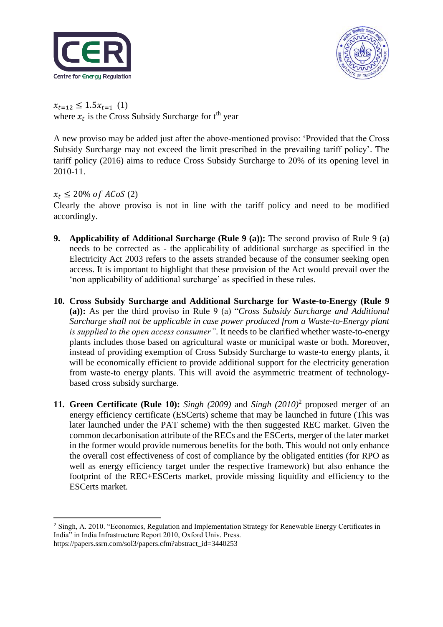



 $x_{t=12} \leq 1.5x_{t=1}$  (1) where  $x_t$  is the Cross Subsidy Surcharge for  $t<sup>th</sup>$  year

A new proviso may be added just after the above-mentioned proviso: 'Provided that the Cross Subsidy Surcharge may not exceed the limit prescribed in the prevailing tariff policy'. The tariff policy (2016) aims to reduce Cross Subsidy Surcharge to 20% of its opening level in 2010-11.

## $x_t \le 20\%$  of ACoS (2)

Clearly the above proviso is not in line with the tariff policy and need to be modified accordingly.

- **9. Applicability of Additional Surcharge (Rule 9 (a)):** The second proviso of Rule 9 (a) needs to be corrected as - the applicability of additional surcharge as specified in the Electricity Act 2003 refers to the assets stranded because of the consumer seeking open access. It is important to highlight that these provision of the Act would prevail over the 'non applicability of additional surcharge' as specified in these rules.
- **10. Cross Subsidy Surcharge and Additional Surcharge for Waste-to-Energy (Rule 9 (a)):** As per the third proviso in Rule 9 (a) "*Cross Subsidy Surcharge and Additional Surcharge shall not be applicable in case power produced from a Waste-to-Energy plant is supplied to the open access consumer"*. It needs to be clarified whether waste-to-energy plants includes those based on agricultural waste or municipal waste or both. Moreover, instead of providing exemption of Cross Subsidy Surcharge to waste-to energy plants, it will be economically efficient to provide additional support for the electricity generation from waste-to energy plants. This will avoid the asymmetric treatment of technologybased cross subsidy surcharge.
- **11. Green Certificate (Rule 10):** *Singh (2009)* and *Singh (2010)*<sup>2</sup> proposed merger of an energy efficiency certificate (ESCerts) scheme that may be launched in future (This was later launched under the PAT scheme) with the then suggested REC market. Given the common decarbonisation attribute of the RECs and the ESCerts, merger of the later market in the former would provide numerous benefits for the both. This would not only enhance the overall cost effectiveness of cost of compliance by the obligated entities (for RPO as well as energy efficiency target under the respective framework) but also enhance the footprint of the REC+ESCerts market, provide missing liquidity and efficiency to the ESCerts market.

<sup>1</sup> <sup>2</sup> Singh, A. 2010. "Economics, Regulation and Implementation Strategy for Renewable Energy Certificates in India" in India Infrastructure Report 2010, Oxford Univ. Press. https://papers.ssrn.com/sol3/papers.cfm?abstract\_id=3440253